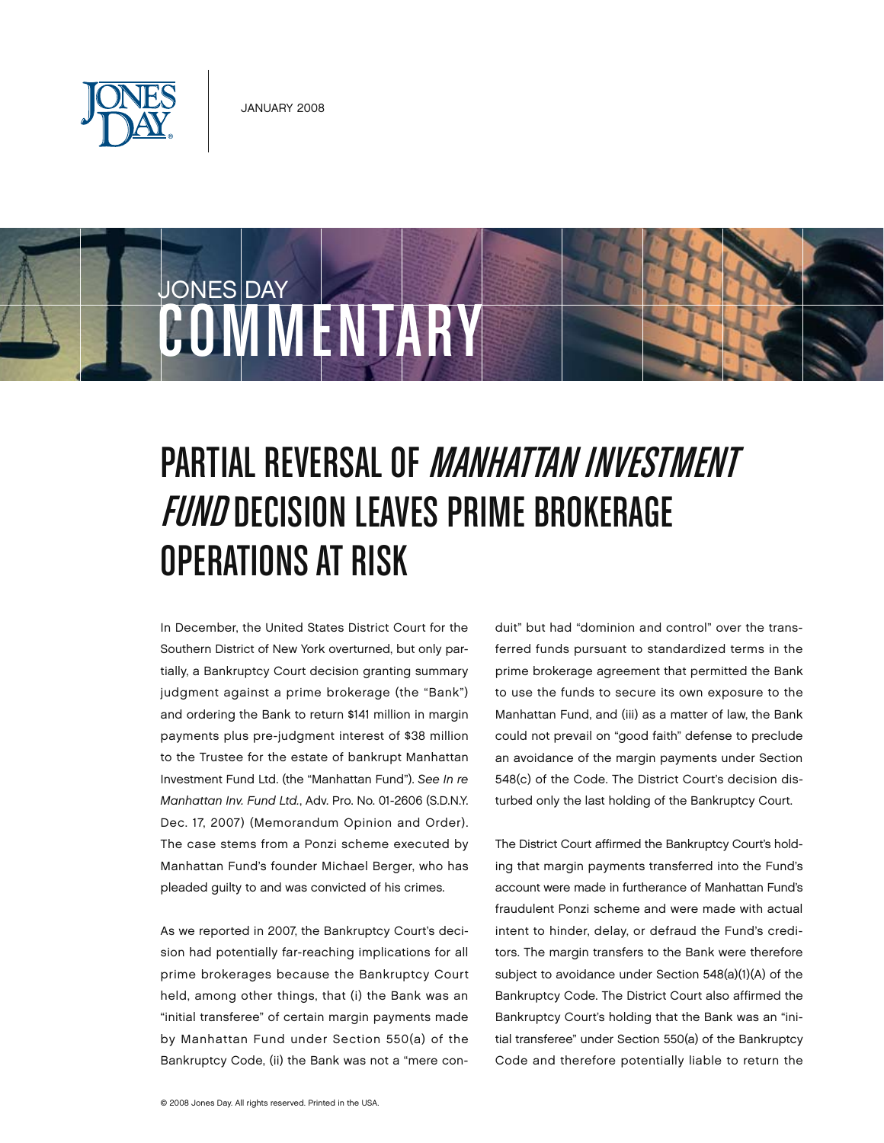

COMMENTARY

JONES DAY



## Operations at Risk

In December, the United States District Court for the Southern District of New York overturned, but only partially, a Bankruptcy Court decision granting summary judgment against a prime brokerage (the "Bank") and ordering the Bank to return \$141 million in margin payments plus pre-judgment interest of \$38 million to the Trustee for the estate of bankrupt Manhattan Investment Fund Ltd. (the "Manhattan Fund"). *See In re Manhattan Inv. Fund Ltd.*, Adv. Pro. No. 01-2606 (S.D.N.Y. Dec. 17, 2007) (Memorandum Opinion and Order). The case stems from a Ponzi scheme executed by Manhattan Fund's founder Michael Berger, who has pleaded guilty to and was convicted of his crimes.

As we reported in 2007, the Bankruptcy Court's decision had potentially far-reaching implications for all prime brokerages because the Bankruptcy Court held, among other things, that (i) the Bank was an "initial transferee" of certain margin payments made by Manhattan Fund under Section 550(a) of the Bankruptcy Code, (ii) the Bank was not a "mere conduit" but had "dominion and control" over the transferred funds pursuant to standardized terms in the prime brokerage agreement that permitted the Bank to use the funds to secure its own exposure to the Manhattan Fund, and (iii) as a matter of law, the Bank could not prevail on "good faith" defense to preclude an avoidance of the margin payments under Section 548(c) of the Code. The District Court's decision disturbed only the last holding of the Bankruptcy Court.

The District Court affirmed the Bankruptcy Court's holding that margin payments transferred into the Fund's account were made in furtherance of Manhattan Fund's fraudulent Ponzi scheme and were made with actual intent to hinder, delay, or defraud the Fund's creditors. The margin transfers to the Bank were therefore subject to avoidance under Section 548(a)(1)(A) of the Bankruptcy Code. The District Court also affirmed the Bankruptcy Court's holding that the Bank was an "initial transferee" under Section 550(a) of the Bankruptcy Code and therefore potentially liable to return the